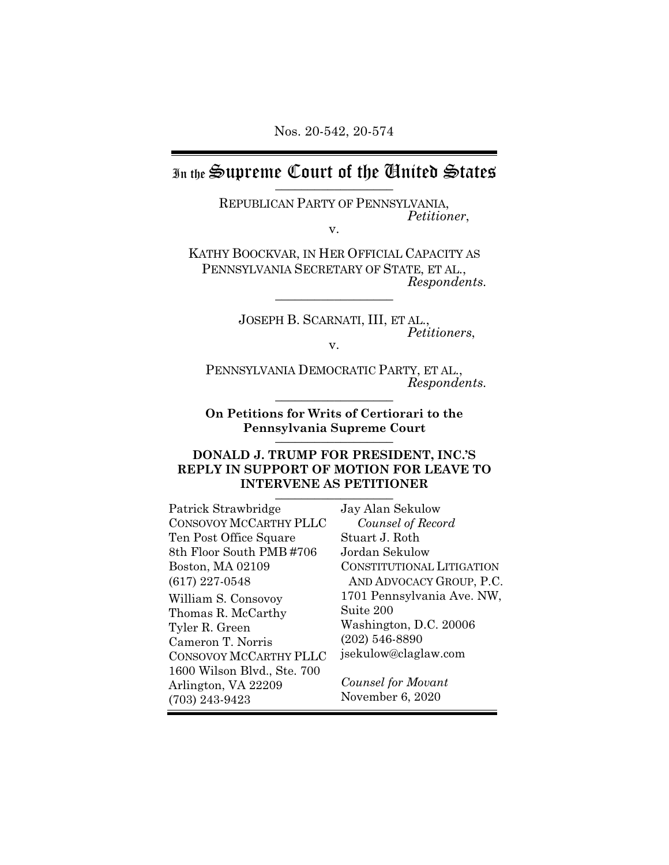### In the Supreme Court of the Chited States  $\frac{1}{2}$

REPUBLICAN PARTY OF PENNSYLVANIA, *Petitioner*,

v.

KATHY BOOCKVAR, IN HER OFFICIAL CAPACITY AS PENNSYLVANIA SECRETARY OF STATE, ET AL., *Respondents.* \_\_\_\_\_\_\_\_\_\_\_\_\_\_\_\_\_\_

> JOSEPH B. SCARNATI, III, ET AL., *Petitioners*,

v.

PENNSYLVANIA DEMOCRATIC PARTY, ET AL., *Respondents.* \_\_\_\_\_\_\_\_\_\_\_\_\_\_\_\_\_\_

**On Petitions for Writs of Certiorari to the Pennsylvania Supreme Court**  $\frac{1}{2}$ 

### **DONALD J. TRUMP FOR PRESIDENT, INC.'S REPLY IN SUPPORT OF MOTION FOR LEAVE TO INTERVENE AS PETITIONER** \_\_\_\_\_\_\_\_\_\_\_\_\_\_\_\_\_\_

| Patrick Strawbridge         | Jay Alan Sekulow           |
|-----------------------------|----------------------------|
| CONSOVOY MCCARTHY PLLC      | Counsel of Record          |
| Ten Post Office Square      | Stuart J. Roth             |
| 8th Floor South PMB #706    | Jordan Sekulow             |
| Boston, MA 02109            | CONSTITUTIONAL LITIGATION  |
| $(617)$ 227-0548            | AND ADVOCACY GROUP, P.C.   |
| William S. Consovoy         | 1701 Pennsylvania Ave. NW, |
| Thomas R. McCarthy          | Suite 200                  |
| Tyler R. Green              | Washington, D.C. 20006     |
| Cameron T. Norris           | $(202)$ 546-8890           |
| CONSOVOY MCCARTHY PLLC      | jsekulow@claglaw.com       |
| 1600 Wilson Blvd., Ste. 700 |                            |
| Arlington, VA 22209         | Counsel for Movant         |
| $(703)$ 243-9423            | November 6, 2020           |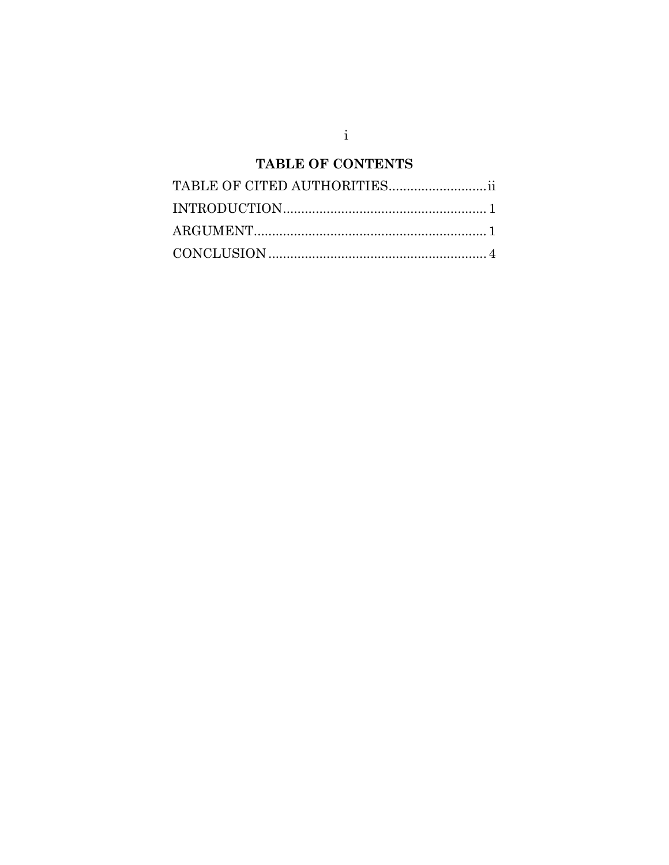# TABLE OF CONTENTS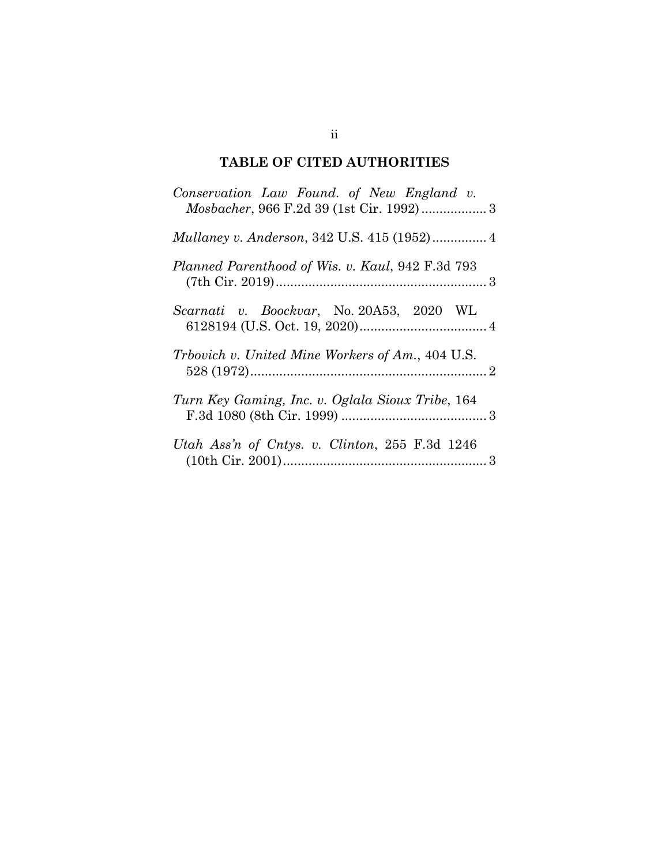## **TABLE OF CITED AUTHORITIES**

| Conservation Law Found. of New England v.               |
|---------------------------------------------------------|
|                                                         |
| Planned Parenthood of Wis. v. Kaul, 942 F.3d 793        |
| Scarnati v. Boockvar, No. 20A53, 2020 WL                |
| <i>Trbovich v. United Mine Workers of Am., 404 U.S.</i> |
| Turn Key Gaming, Inc. v. Oglala Sioux Tribe, 164        |
| Utah Ass'n of Cntys. v. Clinton, 255 F.3d 1246          |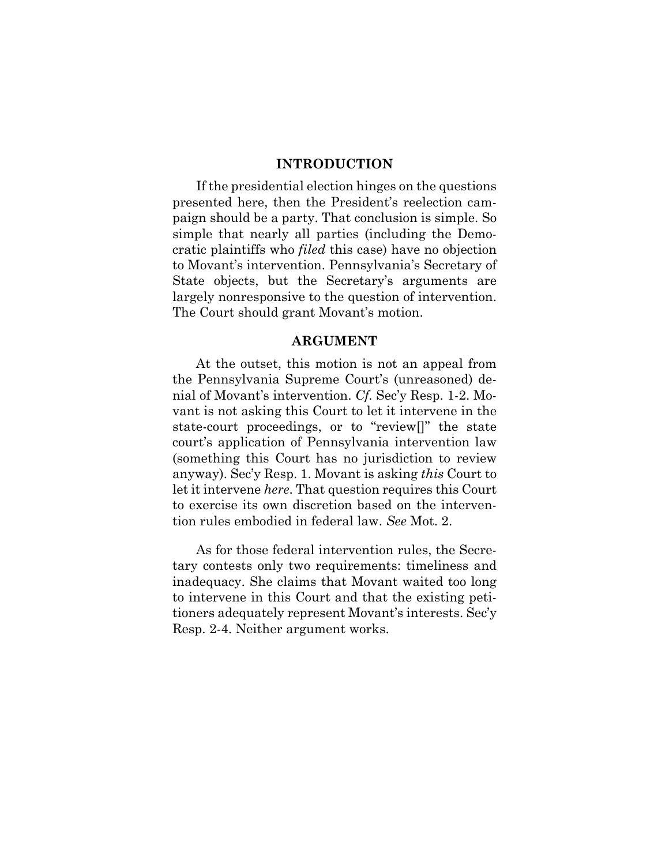### **INTRODUCTION**

If the presidential election hinges on the questions presented here, then the President's reelection campaign should be a party. That conclusion is simple. So simple that nearly all parties (including the Democratic plaintiffs who *filed* this case) have no objection to Movant's intervention. Pennsylvania's Secretary of State objects, but the Secretary's arguments are largely nonresponsive to the question of intervention. The Court should grant Movant's motion.

#### **ARGUMENT**

At the outset, this motion is not an appeal from the Pennsylvania Supreme Court's (unreasoned) denial of Movant's intervention. *Cf.* Sec'y Resp. 1-2. Movant is not asking this Court to let it intervene in the state-court proceedings, or to "review[]" the state court's application of Pennsylvania intervention law (something this Court has no jurisdiction to review anyway). Sec'y Resp. 1. Movant is asking *this* Court to let it intervene *here*. That question requires this Court to exercise its own discretion based on the intervention rules embodied in federal law. *See* Mot. 2.

As for those federal intervention rules, the Secretary contests only two requirements: timeliness and inadequacy. She claims that Movant waited too long to intervene in this Court and that the existing petitioners adequately represent Movant's interests. Sec'y Resp. 2-4. Neither argument works.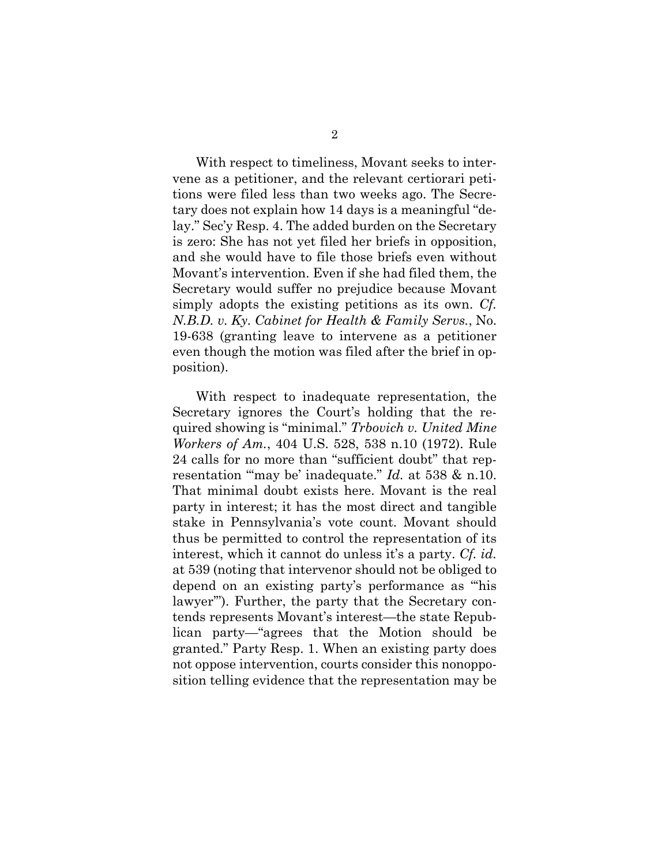With respect to timeliness, Movant seeks to intervene as a petitioner, and the relevant certiorari petitions were filed less than two weeks ago. The Secretary does not explain how 14 days is a meaningful "delay." Sec'y Resp. 4. The added burden on the Secretary is zero: She has not yet filed her briefs in opposition, and she would have to file those briefs even without Movant's intervention. Even if she had filed them, the Secretary would suffer no prejudice because Movant simply adopts the existing petitions as its own. *Cf. N.B.D. v. Ky. Cabinet for Health & Family Servs.*, No. 19-638 (granting leave to intervene as a petitioner even though the motion was filed after the brief in opposition).

With respect to inadequate representation, the Secretary ignores the Court's holding that the required showing is "minimal." *Trbovich v. United Mine Workers of Am.*, 404 U.S. 528, 538 n.10 (1972). Rule 24 calls for no more than "sufficient doubt" that representation "'may be' inadequate." *Id.* at 538 & n.10. That minimal doubt exists here. Movant is the real party in interest; it has the most direct and tangible stake in Pennsylvania's vote count. Movant should thus be permitted to control the representation of its interest, which it cannot do unless it's a party. *Cf. id.*  at 539 (noting that intervenor should not be obliged to depend on an existing party's performance as "'his lawyer'"). Further, the party that the Secretary contends represents Movant's interest—the state Republican party—"agrees that the Motion should be granted." Party Resp. 1. When an existing party does not oppose intervention, courts consider this nonopposition telling evidence that the representation may be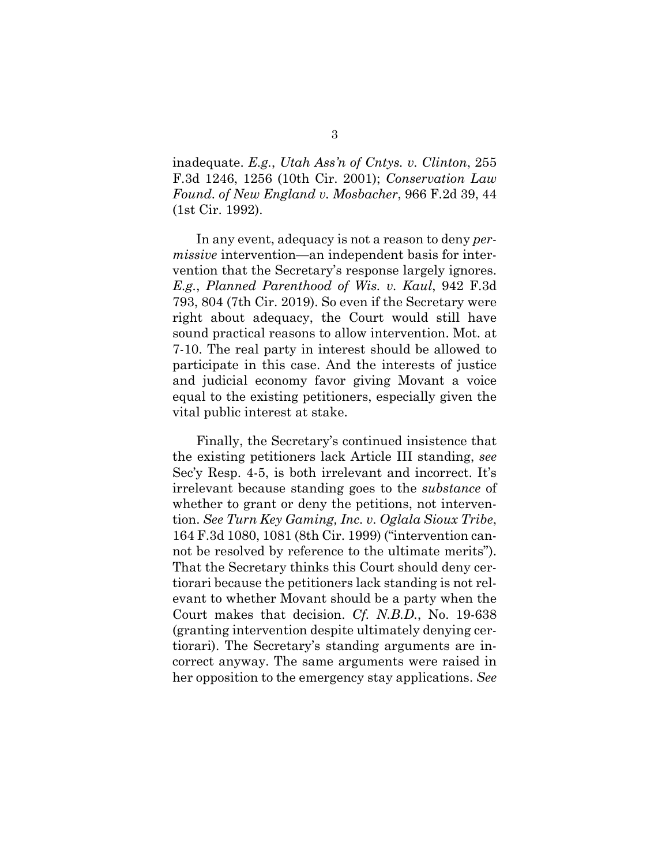inadequate. *E.g.*, *Utah Ass'n of Cntys. v. Clinton*, 255 F.3d 1246, 1256 (10th Cir. 2001); *Conservation Law Found. of New England v. Mosbacher*, 966 F.2d 39, 44 (1st Cir. 1992).

In any event, adequacy is not a reason to deny *permissive* intervention—an independent basis for intervention that the Secretary's response largely ignores. *E.g.*, *Planned Parenthood of Wis. v. Kaul*, 942 F.3d 793, 804 (7th Cir. 2019). So even if the Secretary were right about adequacy, the Court would still have sound practical reasons to allow intervention. Mot. at 7-10. The real party in interest should be allowed to participate in this case. And the interests of justice and judicial economy favor giving Movant a voice equal to the existing petitioners, especially given the vital public interest at stake.

Finally, the Secretary's continued insistence that the existing petitioners lack Article III standing, *see*  Sec'y Resp. 4-5, is both irrelevant and incorrect. It's irrelevant because standing goes to the *substance* of whether to grant or deny the petitions, not intervention. *See Turn Key Gaming, Inc. v. Oglala Sioux Tribe*, 164 F.3d 1080, 1081 (8th Cir. 1999) ("intervention cannot be resolved by reference to the ultimate merits"). That the Secretary thinks this Court should deny certiorari because the petitioners lack standing is not relevant to whether Movant should be a party when the Court makes that decision. *Cf. N.B.D.*, No. 19-638 (granting intervention despite ultimately denying certiorari). The Secretary's standing arguments are incorrect anyway. The same arguments were raised in her opposition to the emergency stay applications. *See*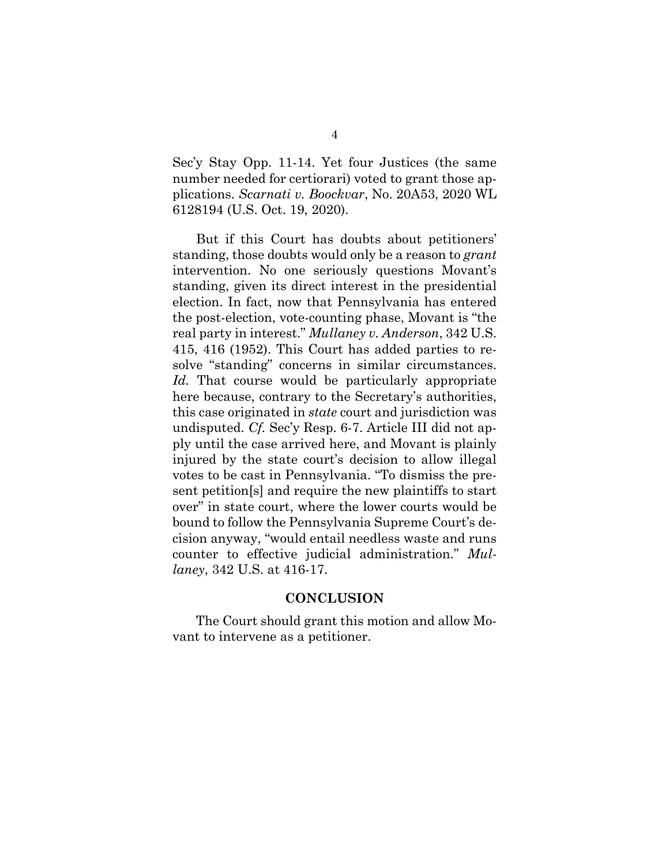Sec'y Stay Opp. 11-14. Yet four Justices (the same number needed for certiorari) voted to grant those applications. *Scarnati v. Boockvar*, No. 20A53, 2020 WL 6128194 (U.S. Oct. 19, 2020).

But if this Court has doubts about petitioners' standing, those doubts would only be a reason to *grant* intervention. No one seriously questions Movant's standing, given its direct interest in the presidential election. In fact, now that Pennsylvania has entered the post-election, vote-counting phase, Movant is "the real party in interest." *Mullaney v. Anderson*, 342 U.S. 415, 416 (1952). This Court has added parties to resolve "standing" concerns in similar circumstances. *Id.* That course would be particularly appropriate here because, contrary to the Secretary's authorities, this case originated in *state* court and jurisdiction was undisputed. *Cf.* Sec'y Resp. 6-7. Article III did not apply until the case arrived here, and Movant is plainly injured by the state court's decision to allow illegal votes to be cast in Pennsylvania. "To dismiss the present petition[s] and require the new plaintiffs to start over" in state court, where the lower courts would be bound to follow the Pennsylvania Supreme Court's decision anyway, "would entail needless waste and runs counter to effective judicial administration." *Mullaney*, 342 U.S. at 416-17.

### **CONCLUSION**

The Court should grant this motion and allow Movant to intervene as a petitioner.